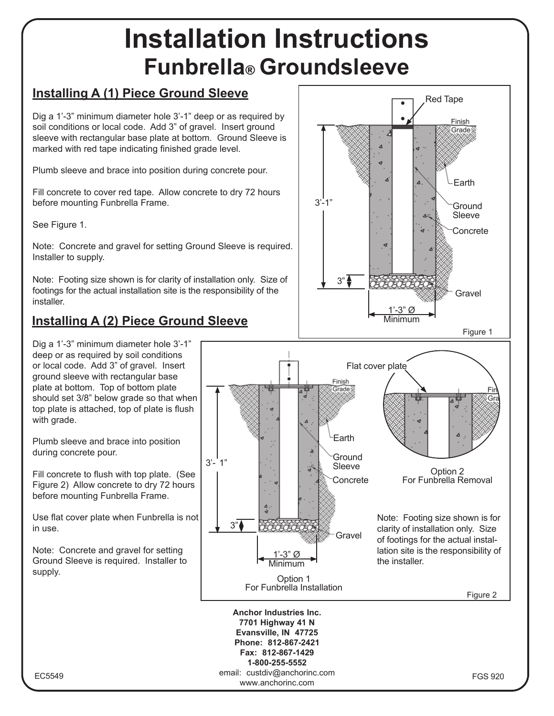## **Installation Instructions Funbrella**® **Groundsleeve**

www.anchorinc.com

## **Installing A (1) Piece Ground Sleeve**

Dig a 1'-3" minimum diameter hole 3'-1" deep or as required by soil conditions or local code. Add 3" of gravel. Insert ground sleeve with rectangular base plate at bottom. Ground Sleeve is marked with red tape indicating finished grade level.

Plumb sleeve and brace into position during concrete pour.

Fill concrete to cover red tape. Allow concrete to dry 72 hours before mounting Funbrella Frame.

See Figure 1.

Note: Concrete and gravel for setting Ground Sleeve is required. Installer to supply.

Note: Footing size shown is for clarity of installation only. Size of footings for the actual installation site is the responsibility of the installer.

## **Installing A (2) Piece Ground Sleeve**

Dig a 1'-3" minimum diameter hole 3'-1" deep or as required by soil conditions or local code. Add 3" of gravel. Insert ground sleeve with rectangular base plate at bottom. Top of bottom plate should set 3/8" below grade so that when top plate is attached, top of plate is flush with grade.

Plumb sleeve and brace into position during concrete pour.

Fill concrete to flush with top plate. (See Figure 2) Allow concrete to dry 72 hours before mounting Funbrella Frame.

Use flat cover plate when Funbrella is not in use.

Note: Concrete and gravel for setting Ground Sleeve is required. Installer to supply.